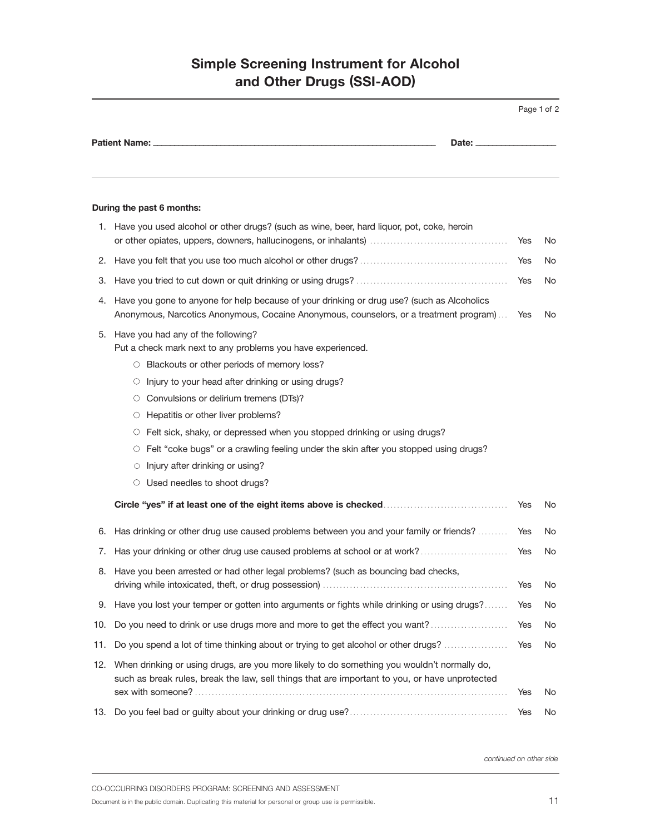## **Simple Screening Instrument for Alcohol and Other Drugs (SSI-AOD)**

|                                                                                                                                                                                                                                                                                                                                                                                                                                                                                                                                                                                                                                                                                                                                                                                                                                                                                                                                                                                                                                                                                                                                                                                                                                        |                                                                                                                                                                                                                                                                                         |            | Page 1 of 2 |
|----------------------------------------------------------------------------------------------------------------------------------------------------------------------------------------------------------------------------------------------------------------------------------------------------------------------------------------------------------------------------------------------------------------------------------------------------------------------------------------------------------------------------------------------------------------------------------------------------------------------------------------------------------------------------------------------------------------------------------------------------------------------------------------------------------------------------------------------------------------------------------------------------------------------------------------------------------------------------------------------------------------------------------------------------------------------------------------------------------------------------------------------------------------------------------------------------------------------------------------|-----------------------------------------------------------------------------------------------------------------------------------------------------------------------------------------------------------------------------------------------------------------------------------------|------------|-------------|
| <b>Patient Name:</b><br>Date: _<br>During the past 6 months:<br>1. Have you used alcohol or other drugs? (such as wine, beer, hard liquor, pot, coke, heroin<br>З.<br>Have you gone to anyone for help because of your drinking or drug use? (such as Alcoholics<br>4.<br>Anonymous, Narcotics Anonymous, Cocaine Anonymous, counselors, or a treatment program)<br>Have you had any of the following?<br>5.<br>Put a check mark next to any problems you have experienced.<br>O Blackouts or other periods of memory loss?<br>Injury to your head after drinking or using drugs?<br>O<br>○ Convulsions or delirium tremens (DTs)?<br>$\circ$ Hepatitis or other liver problems?<br>Felt sick, shaky, or depressed when you stopped drinking or using drugs?<br>O<br>○ Felt "coke bugs" or a crawling feeling under the skin after you stopped using drugs?<br>Injury after drinking or using?<br>O<br>Used needles to shoot drugs?<br>O.<br>Has drinking or other drug use caused problems between you and your family or friends?<br>Yes<br>6.<br>Has your drinking or other drug use caused problems at school or at work?<br>Yes<br>7.<br>Have you been arrested or had other legal problems? (such as bouncing bad checks,<br>Yes |                                                                                                                                                                                                                                                                                         |            |             |
|                                                                                                                                                                                                                                                                                                                                                                                                                                                                                                                                                                                                                                                                                                                                                                                                                                                                                                                                                                                                                                                                                                                                                                                                                                        |                                                                                                                                                                                                                                                                                         |            |             |
|                                                                                                                                                                                                                                                                                                                                                                                                                                                                                                                                                                                                                                                                                                                                                                                                                                                                                                                                                                                                                                                                                                                                                                                                                                        |                                                                                                                                                                                                                                                                                         |            |             |
|                                                                                                                                                                                                                                                                                                                                                                                                                                                                                                                                                                                                                                                                                                                                                                                                                                                                                                                                                                                                                                                                                                                                                                                                                                        |                                                                                                                                                                                                                                                                                         | Yes        | No.         |
|                                                                                                                                                                                                                                                                                                                                                                                                                                                                                                                                                                                                                                                                                                                                                                                                                                                                                                                                                                                                                                                                                                                                                                                                                                        |                                                                                                                                                                                                                                                                                         | Yes        | No          |
|                                                                                                                                                                                                                                                                                                                                                                                                                                                                                                                                                                                                                                                                                                                                                                                                                                                                                                                                                                                                                                                                                                                                                                                                                                        |                                                                                                                                                                                                                                                                                         | Yes        | No.         |
|                                                                                                                                                                                                                                                                                                                                                                                                                                                                                                                                                                                                                                                                                                                                                                                                                                                                                                                                                                                                                                                                                                                                                                                                                                        |                                                                                                                                                                                                                                                                                         | Yes        | No.         |
|                                                                                                                                                                                                                                                                                                                                                                                                                                                                                                                                                                                                                                                                                                                                                                                                                                                                                                                                                                                                                                                                                                                                                                                                                                        |                                                                                                                                                                                                                                                                                         | Yes        | No.         |
|                                                                                                                                                                                                                                                                                                                                                                                                                                                                                                                                                                                                                                                                                                                                                                                                                                                                                                                                                                                                                                                                                                                                                                                                                                        |                                                                                                                                                                                                                                                                                         |            | No.         |
|                                                                                                                                                                                                                                                                                                                                                                                                                                                                                                                                                                                                                                                                                                                                                                                                                                                                                                                                                                                                                                                                                                                                                                                                                                        |                                                                                                                                                                                                                                                                                         |            |             |
|                                                                                                                                                                                                                                                                                                                                                                                                                                                                                                                                                                                                                                                                                                                                                                                                                                                                                                                                                                                                                                                                                                                                                                                                                                        |                                                                                                                                                                                                                                                                                         |            | No.<br>No.  |
|                                                                                                                                                                                                                                                                                                                                                                                                                                                                                                                                                                                                                                                                                                                                                                                                                                                                                                                                                                                                                                                                                                                                                                                                                                        | 9. Have you lost your temper or gotten into arguments or fights while drinking or using drugs?                                                                                                                                                                                          | Yes        | No.         |
| 10.                                                                                                                                                                                                                                                                                                                                                                                                                                                                                                                                                                                                                                                                                                                                                                                                                                                                                                                                                                                                                                                                                                                                                                                                                                    | Do you need to drink or use drugs more and more to get the effect you want?                                                                                                                                                                                                             | Yes        | No.         |
|                                                                                                                                                                                                                                                                                                                                                                                                                                                                                                                                                                                                                                                                                                                                                                                                                                                                                                                                                                                                                                                                                                                                                                                                                                        |                                                                                                                                                                                                                                                                                         |            |             |
| 11.                                                                                                                                                                                                                                                                                                                                                                                                                                                                                                                                                                                                                                                                                                                                                                                                                                                                                                                                                                                                                                                                                                                                                                                                                                    | Do you spend a lot of time thinking about or trying to get alcohol or other drugs?<br>12. When drinking or using drugs, are you more likely to do something you wouldn't normally do,<br>such as break rules, break the law, sell things that are important to you, or have unprotected | Yes        | No          |
|                                                                                                                                                                                                                                                                                                                                                                                                                                                                                                                                                                                                                                                                                                                                                                                                                                                                                                                                                                                                                                                                                                                                                                                                                                        |                                                                                                                                                                                                                                                                                         | Yes<br>Yes | No.<br>No.  |

*continued on other side*

CO-OCCURRING DISORDERS PROGRAM: SCREENING AND ASSESSMENT

Document is in the public domain. Duplicating this material for personal or group use is permissible. 11 and the public domain. Duplicating this material for personal or group use is permissible.